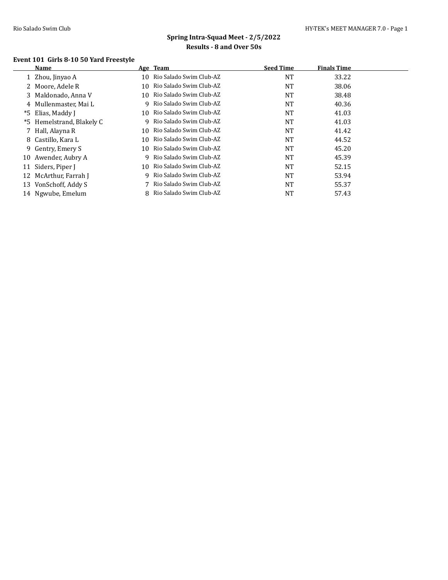#### **Event 101 Girls 8-10 50 Yard Freestyle**

|    | <b>Name</b>               |     | Age Team                | <b>Seed Time</b> | <b>Finals Time</b> |  |
|----|---------------------------|-----|-------------------------|------------------|--------------------|--|
|    | 1 Zhou, Jinyao A          | 10  | Rio Salado Swim Club-AZ | NT               | 33.22              |  |
|    | 2 Moore, Adele R          | 10. | Rio Salado Swim Club-AZ | NT               | 38.06              |  |
|    | 3 Maldonado, Anna V       | 10. | Rio Salado Swim Club-AZ | NT               | 38.48              |  |
|    | 4 Mullenmaster, Mai L     | q   | Rio Salado Swim Club-AZ | NT               | 40.36              |  |
| *5 | Elias, Maddy J            | 10  | Rio Salado Swim Club-AZ | NT               | 41.03              |  |
|    | *5 Hemelstrand, Blakely C | q   | Rio Salado Swim Club-AZ | NT               | 41.03              |  |
|    | 7 Hall, Alayna R          | 10  | Rio Salado Swim Club-AZ | NT               | 41.42              |  |
|    | 8 Castillo, Kara L        | 10. | Rio Salado Swim Club-AZ | <b>NT</b>        | 44.52              |  |
|    | 9 Gentry, Emery S         | 10. | Rio Salado Swim Club-AZ | <b>NT</b>        | 45.20              |  |
| 10 | Awender, Aubry A          | Q.  | Rio Salado Swim Club-AZ | <b>NT</b>        | 45.39              |  |
| 11 | Siders, Piper J           | 10  | Rio Salado Swim Club-AZ | <b>NT</b>        | 52.15              |  |
| 12 | McArthur, Farrah J        | q   | Rio Salado Swim Club-AZ | NT               | 53.94              |  |
| 13 | VonSchoff, Addy S         |     | Rio Salado Swim Club-AZ | <b>NT</b>        | 55.37              |  |
|    | 14 Ngwube, Emelum         |     | Rio Salado Swim Club-AZ | NT               | 57.43              |  |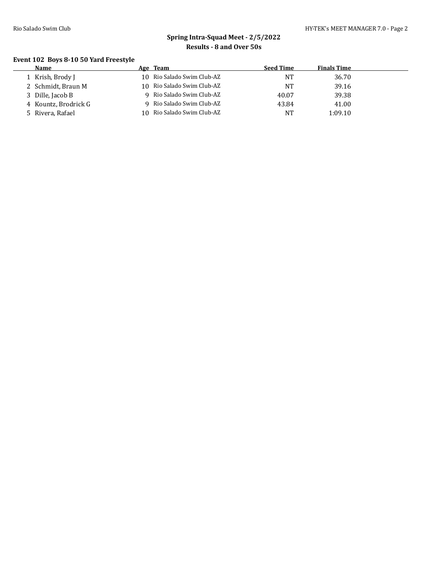#### **Event 102 Boys 8-10 50 Yard Freestyle**

| Name                 |     | Age Team                   | <b>Seed Time</b> | <b>Finals Time</b> |
|----------------------|-----|----------------------------|------------------|--------------------|
| l Krish, Brody J     |     | 10 Rio Salado Swim Club-AZ | NT               | 36.70              |
| 2 Schmidt, Braun M   |     | 10 Rio Salado Swim Club-AZ | NT               | 39.16              |
| 3 Dille, Jacob B     |     | 9 Rio Salado Swim Club-AZ  | 40.07            | 39.38              |
| 4 Kountz, Brodrick G |     | 9 Rio Salado Swim Club-AZ  | 43.84            | 41.00              |
| 5 Rivera, Rafael     | 10. | Rio Salado Swim Club-AZ    | NT               | 1:09.10            |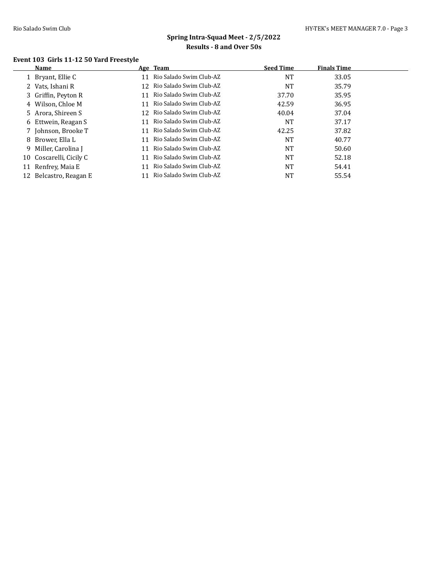#### **Event 103 Girls 11-12 50 Yard Freestyle**

|     | Name                    |     | Age Team                  | <b>Seed Time</b> | <b>Finals Time</b> |
|-----|-------------------------|-----|---------------------------|------------------|--------------------|
|     | 1 Bryant, Ellie C       | 11  | Rio Salado Swim Club-AZ   | <b>NT</b>        | 33.05              |
|     | 2 Vats, Ishani R        | 12. | Rio Salado Swim Club-AZ   | <b>NT</b>        | 35.79              |
|     | 3 Griffin, Peyton R     | 11  | Rio Salado Swim Club-AZ   | 37.70            | 35.95              |
|     | 4 Wilson, Chloe M       | 11  | Rio Salado Swim Club-AZ   | 42.59            | 36.95              |
|     | 5 Arora, Shireen S      | 12. | Rio Salado Swim Club-AZ   | 40.04            | 37.04              |
|     | 6 Ettwein, Reagan S     | 11  | Rio Salado Swim Club-AZ   | <b>NT</b>        | 37.17              |
|     | 7 Johnson, Brooke T     | 11  | - Rio Salado Swim Club-AZ | 42.25            | 37.82              |
|     | 8 Brower, Ella L        | 11  | Rio Salado Swim Club-AZ   | <b>NT</b>        | 40.77              |
|     | 9 Miller, Carolina J    | 11  | Rio Salado Swim Club-AZ   | <b>NT</b>        | 50.60              |
|     | 10 Coscarelli, Cicily C | 11  | Rio Salado Swim Club-AZ   | <b>NT</b>        | 52.18              |
| 11  | Renfrey, Maia E         | 11  | Rio Salado Swim Club-AZ   | NT               | 54.41              |
| 12. | Belcastro, Reagan E     | 11  | Rio Salado Swim Club-AZ   | NT               | 55.54              |
|     |                         |     |                           |                  |                    |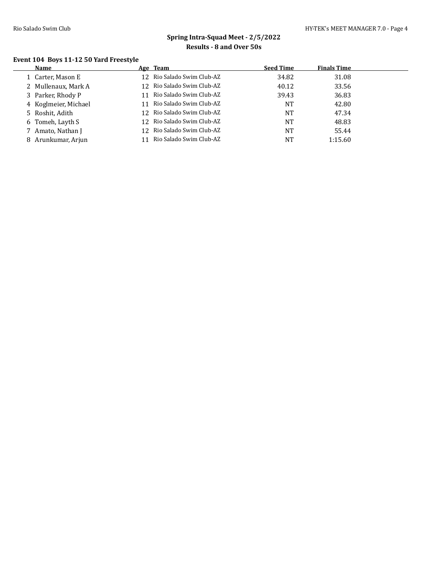$\overline{a}$ 

# **Spring Intra-Squad Meet - 2/5/2022 Results - 8 and Over 50s**

#### **Event 104 Boys 11-12 50 Yard Freestyle**

| Name                 | Age Team                      | <b>Seed Time</b> | <b>Finals Time</b> |  |
|----------------------|-------------------------------|------------------|--------------------|--|
| 1 Carter, Mason E    | 12 Rio Salado Swim Club-AZ    | 34.82            | 31.08              |  |
| 2 Mullenaux, Mark A  | 12 Rio Salado Swim Club-AZ    | 40.12            | 33.56              |  |
| 3 Parker, Rhody P    | 11 Rio Salado Swim Club-AZ    | 39.43            | 36.83              |  |
| 4 Koglmeier, Michael | 11 Rio Salado Swim Club-AZ    | NT               | 42.80              |  |
| 5 Roshit, Adith      | 12 Rio Salado Swim Club-AZ    | NT               | 47.34              |  |
| 6 Tomeh, Layth S     | 12 Rio Salado Swim Club-AZ    | NT               | 48.83              |  |
| Amato, Nathan J      | 12 Rio Salado Swim Club-AZ    | <b>NT</b>        | 55.44              |  |
| Arunkumar, Arjun     | Rio Salado Swim Club-AZ<br>11 | NT               | 1:15.60            |  |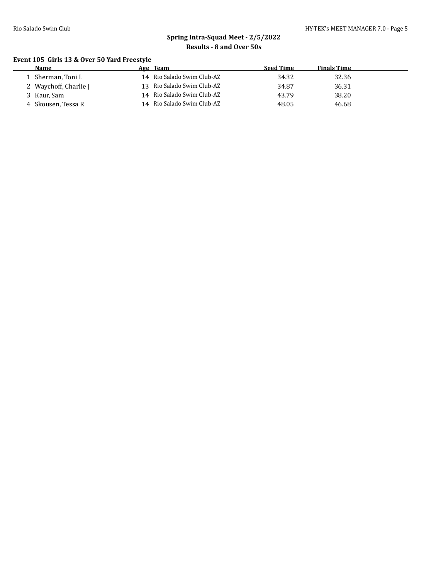#### **Event 105 Girls 13 & Over 50 Yard Freestyle**

| <b>Name</b>           | Age Team                   | Seed Time | <b>Finals Time</b> |  |
|-----------------------|----------------------------|-----------|--------------------|--|
| Sherman, Toni L       | 14 Rio Salado Swim Club-AZ | 34.32     | 32.36              |  |
| 2 Waychoff, Charlie J | 13 Rio Salado Swim Club-AZ | 34.87     | 36.31              |  |
| 3 Kaur, Sam           | 14 Rio Salado Swim Club-AZ | 43.79     | 38.20              |  |
| 4 Skousen, Tessa R    | 14 Rio Salado Swim Club-AZ | 48.05     | 46.68              |  |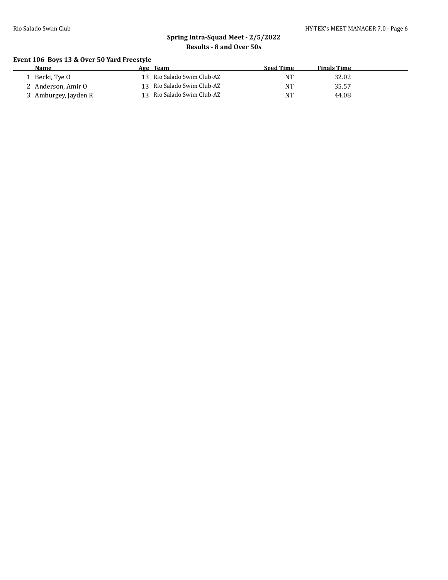#### **Event 106 Boys 13 & Over 50 Yard Freestyle**

| Name                 | Age Team                   | Seed Time | <b>Finals Time</b> |  |
|----------------------|----------------------------|-----------|--------------------|--|
| 1 Becki, Tye 0       | 13 Rio Salado Swim Club-AZ | NT        | 32.02              |  |
| 2 Anderson, Amir O   | 13 Rio Salado Swim Club-AZ | NT        | 35.57              |  |
| 3 Amburgey, Jayden R | 13 Rio Salado Swim Club-AZ | NT        | 44.08              |  |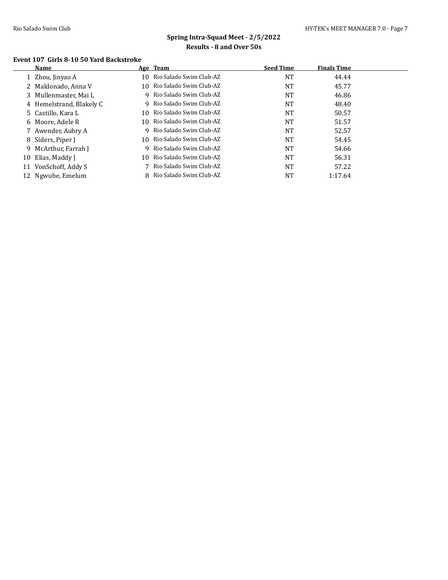$\overline{a}$ 

# **Spring Intra-Squad Meet - 2/5/2022 Results - 8 and Over 50s**

#### **Event 107 Girls 8-10 50 Yard Backstroke**

|    | Name                     |    | Age Team                  | <b>Seed Time</b> | <b>Finals Time</b> |  |
|----|--------------------------|----|---------------------------|------------------|--------------------|--|
|    | Zhou, Jinyao A           | 10 | Rio Salado Swim Club-AZ   | <b>NT</b>        | 44.44              |  |
|    | 2 Maldonado, Anna V      | 10 | Rio Salado Swim Club-AZ   | NT               | 45.77              |  |
|    | 3 Mullenmaster, Mai L    |    | 9 Rio Salado Swim Club-AZ | NT               | 46.86              |  |
|    | 4 Hemelstrand, Blakely C |    | 9 Rio Salado Swim Club-AZ | NT               | 48.40              |  |
|    | 5 Castillo, Kara L       | 10 | Rio Salado Swim Club-AZ   | <b>NT</b>        | 50.57              |  |
|    | 6 Moore, Adele R         | 10 | Rio Salado Swim Club-AZ   | NT               | 51.57              |  |
|    | Awender, Aubry A         |    | 9 Rio Salado Swim Club-AZ | NT               | 52.57              |  |
|    | 8 Siders, Piper J        | 10 | Rio Salado Swim Club-AZ   | NT               | 54.45              |  |
| 9. | McArthur, Farrah J       |    | 9 Rio Salado Swim Club-AZ | <b>NT</b>        | 54.66              |  |
| 10 | Elias, Maddy I           | 10 | Rio Salado Swim Club-AZ   | <b>NT</b>        | 56.31              |  |
|    | 11 VonSchoff, Addy S     |    | 7 Rio Salado Swim Club-AZ | <b>NT</b>        | 57.22              |  |
|    | 12 Ngwube, Emelum        |    | 8 Rio Salado Swim Club-AZ | NT               | 1:17.64            |  |
|    |                          |    |                           |                  |                    |  |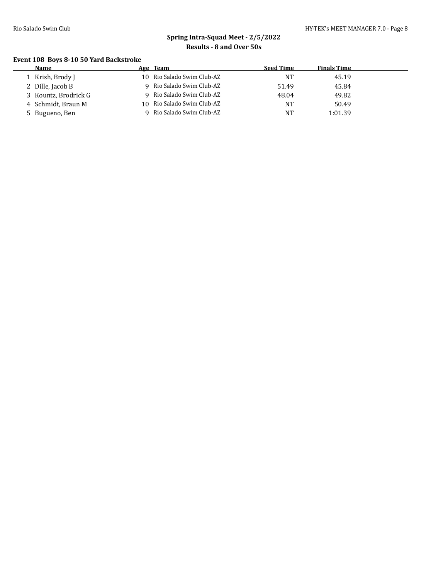#### **Event 108 Boys 8-10 50 Yard Backstroke**

| Name                 | Age Team                   | <b>Seed Time</b> | <b>Finals Time</b> |  |
|----------------------|----------------------------|------------------|--------------------|--|
| 1 Krish, Brody J     | 10 Rio Salado Swim Club-AZ | NT               | 45.19              |  |
| 2 Dille, Jacob B     | 9 Rio Salado Swim Club-AZ  | 51.49            | 45.84              |  |
| 3 Kountz, Brodrick G | 9 Rio Salado Swim Club-AZ  | 48.04            | 49.82              |  |
| 4 Schmidt, Braun M   | 10 Rio Salado Swim Club-AZ | <b>NT</b>        | 50.49              |  |
| 5 Bugueno, Ben       | Rio Salado Swim Club-AZ    | <b>NT</b>        | 1:01.39            |  |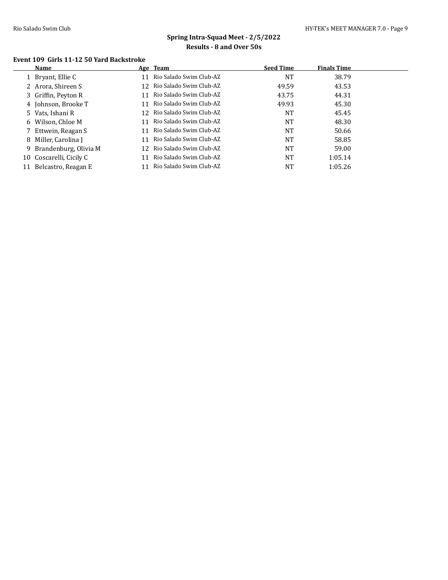#### **Event 109 Girls 11-12 50 Yard Backstroke**

| Name                    |     | <b>Seed Time</b>                                                                                                                                                                                                                                                                                                         | <b>Finals Time</b> |
|-------------------------|-----|--------------------------------------------------------------------------------------------------------------------------------------------------------------------------------------------------------------------------------------------------------------------------------------------------------------------------|--------------------|
| 1 Bryant, Ellie C       | 11  | NT                                                                                                                                                                                                                                                                                                                       | 38.79              |
| 2 Arora, Shireen S      | 12  | 49.59                                                                                                                                                                                                                                                                                                                    | 43.53              |
| 3 Griffin, Peyton R     | 11  | 43.75                                                                                                                                                                                                                                                                                                                    | 44.31              |
| 4 Johnson, Brooke T     | 11  | 49.93                                                                                                                                                                                                                                                                                                                    | 45.30              |
| 5 Vats, Ishani R        | 12. | <b>NT</b>                                                                                                                                                                                                                                                                                                                | 45.45              |
| 6 Wilson, Chloe M       | 11  | <b>NT</b>                                                                                                                                                                                                                                                                                                                | 48.30              |
| Ettwein, Reagan S       |     | NT                                                                                                                                                                                                                                                                                                                       | 50.66              |
| Miller, Carolina J<br>8 | 11  | NT                                                                                                                                                                                                                                                                                                                       | 58.85              |
| 9 Brandenburg, Olivia M | 12. | NT                                                                                                                                                                                                                                                                                                                       | 59.00              |
| 10 Coscarelli, Cicily C | 11  | <b>NT</b>                                                                                                                                                                                                                                                                                                                | 1:05.14            |
| Belcastro, Reagan E     | 11  | NT                                                                                                                                                                                                                                                                                                                       | 1:05.26            |
|                         |     | Age Team<br>Rio Salado Swim Club-AZ<br>Rio Salado Swim Club-AZ<br>Rio Salado Swim Club-AZ<br>Rio Salado Swim Club-AZ<br>- Rio Salado Swim Club-AZ<br>Rio Salado Swim Club-AZ<br>11 Rio Salado Swim Club-AZ<br>Rio Salado Swim Club-AZ<br>- Rio Salado Swim Club-AZ<br>Rio Salado Swim Club-AZ<br>Rio Salado Swim Club-AZ |                    |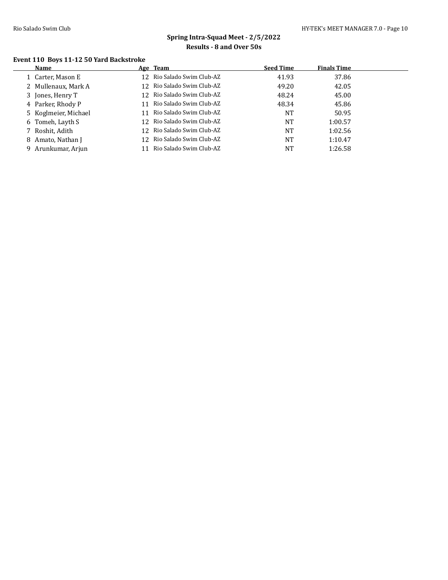#### **Event 110 Boys 11-12 50 Yard Backstroke**

| Name                 | Age Team                   | <b>Seed Time</b> | <b>Finals Time</b> |
|----------------------|----------------------------|------------------|--------------------|
| 1 Carter, Mason E    | 12 Rio Salado Swim Club-AZ | 41.93            | 37.86              |
| 2 Mullenaux, Mark A  | 12 Rio Salado Swim Club-AZ | 49.20            | 42.05              |
| 3 Jones, Henry T     | 12 Rio Salado Swim Club-AZ | 48.24            | 45.00              |
| 4 Parker, Rhody P    | 11 Rio Salado Swim Club-AZ | 48.34            | 45.86              |
| 5 Koglmeier, Michael | 11 Rio Salado Swim Club-AZ | NT               | 50.95              |
| 6 Tomeh, Layth S     | 12 Rio Salado Swim Club-AZ | NT               | 1:00.57            |
| 7 Roshit, Adith      | 12 Rio Salado Swim Club-AZ | <b>NT</b>        | 1:02.56            |
| 8 Amato, Nathan J    | 12 Rio Salado Swim Club-AZ | <b>NT</b>        | 1:10.47            |
| 9 Arunkumar, Arjun   | Rio Salado Swim Club-AZ    | NT               | 1:26.58            |
|                      |                            |                  |                    |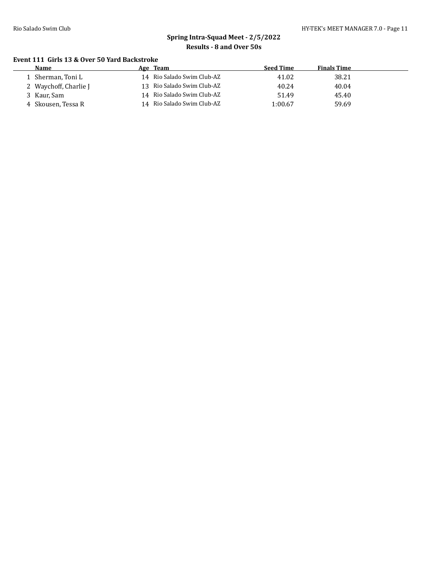#### **Event 111 Girls 13 & Over 50 Yard Backstroke**

| <b>Name</b>           | Age Team                   | <b>Seed Time</b> | <b>Finals Time</b> |  |
|-----------------------|----------------------------|------------------|--------------------|--|
| 1 Sherman, Toni L     | 14 Rio Salado Swim Club-AZ | 41.02            | 38.21              |  |
| 2 Waychoff, Charlie J | 13 Rio Salado Swim Club-AZ | 40.24            | 40.04              |  |
| 3 Kaur, Sam           | 14 Rio Salado Swim Club-AZ | 51.49            | 45.40              |  |
| 4 Skousen, Tessa R    | 14 Rio Salado Swim Club-AZ | 1:00.67          | 59.69              |  |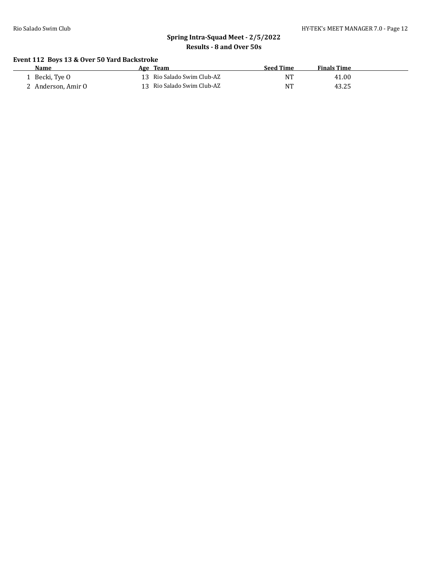#### **Event 112 Boys 13 & Over 50 Yard Backstroke**

| Name             | Age Team                   | <b>Seed Time</b> | <b>Finals Time</b> |
|------------------|----------------------------|------------------|--------------------|
| Becki, Tve O     | 13 Rio Salado Swim Club-AZ | NT               | 41.00              |
| Anderson. Amir O | 13 Rio Salado Swim Club-AZ | <b>NT</b>        | 43.25              |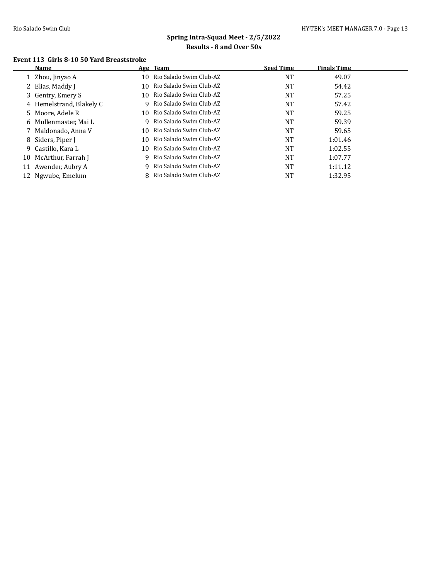$\overline{a}$ 

# **Spring Intra-Squad Meet - 2/5/2022 Results - 8 and Over 50s**

#### **Event 113 Girls 8-10 50 Yard Breaststroke**

|    | Name                     |    | Age Team                  | <b>Seed Time</b> | <b>Finals Time</b> |  |
|----|--------------------------|----|---------------------------|------------------|--------------------|--|
|    | Zhou, Jinyao A           | 10 | Rio Salado Swim Club-AZ   | NT               | 49.07              |  |
|    | 2 Elias, Maddy J         | 10 | Rio Salado Swim Club-AZ   | NT               | 54.42              |  |
|    | 3 Gentry, Emery S        | 10 | - Rio Salado Swim Club-AZ | <b>NT</b>        | 57.25              |  |
|    | 4 Hemelstrand, Blakely C |    | 9 Rio Salado Swim Club-AZ | NT               | 57.42              |  |
|    | 5 Moore, Adele R         | 10 | - Rio Salado Swim Club-AZ | <b>NT</b>        | 59.25              |  |
|    | 6 Mullenmaster, Mai L    |    | 9 Rio Salado Swim Club-AZ | <b>NT</b>        | 59.39              |  |
|    | 7 Maldonado, Anna V      | 10 | Rio Salado Swim Club-AZ   | <b>NT</b>        | 59.65              |  |
|    | 8 Siders, Piper J        | 10 | Rio Salado Swim Club-AZ   | NT               | 1:01.46            |  |
|    | 9 Castillo, Kara L       | 10 | Rio Salado Swim Club-AZ   | <b>NT</b>        | 1:02.55            |  |
| 10 | McArthur, Farrah J       |    | 9 Rio Salado Swim Club-AZ | <b>NT</b>        | 1:07.77            |  |
| 11 | Awender, Aubry A         |    | 9 Rio Salado Swim Club-AZ | NT               | 1:11.12            |  |
|    | 12 Ngwube, Emelum        |    | 8 Rio Salado Swim Club-AZ | NT               | 1:32.95            |  |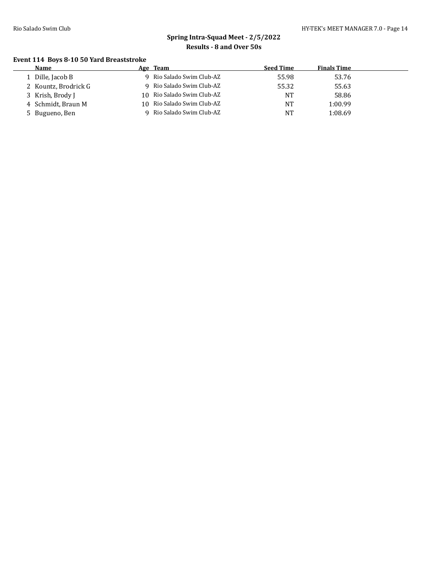#### **Event 114 Boys 8-10 50 Yard Breaststroke**

| Name                 | Age Team                   | <b>Seed Time</b> | <b>Finals Time</b> |
|----------------------|----------------------------|------------------|--------------------|
| Dille, Jacob B       | 9 Rio Salado Swim Club-AZ  | 55.98            | 53.76              |
| 2 Kountz, Brodrick G | 9 Rio Salado Swim Club-AZ  | 55.32            | 55.63              |
| 3 Krish, Brody J     | 10 Rio Salado Swim Club-AZ | NT               | 58.86              |
| 4 Schmidt, Braun M   | 10 Rio Salado Swim Club-AZ | <b>NT</b>        | 1:00.99            |
| 5 Bugueno, Ben       | Rio Salado Swim Club-AZ    | <b>NT</b>        | 1:08.69            |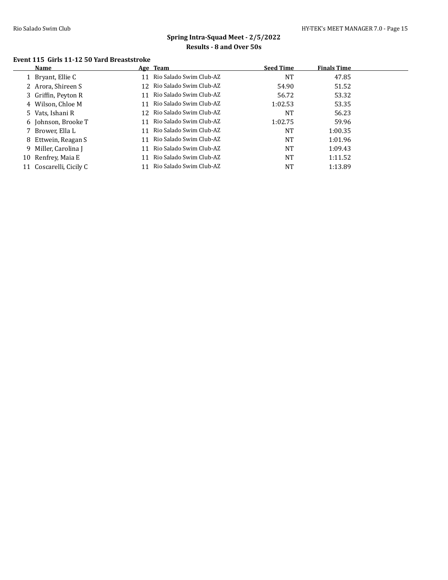#### **Event 115 Girls 11-12 50 Yard Breaststroke**

| Name                    |    |                         |                                                                                                                                                                                                                                        | <b>Finals Time</b> |
|-------------------------|----|-------------------------|----------------------------------------------------------------------------------------------------------------------------------------------------------------------------------------------------------------------------------------|--------------------|
| 1 Bryant, Ellie C       | 11 |                         | <b>NT</b>                                                                                                                                                                                                                              | 47.85              |
| 2 Arora, Shireen S      |    |                         | 54.90                                                                                                                                                                                                                                  | 51.52              |
| 3 Griffin, Peyton R     | 11 |                         | 56.72                                                                                                                                                                                                                                  | 53.32              |
| 4 Wilson, Chloe M       | 11 |                         | 1:02.53                                                                                                                                                                                                                                | 53.35              |
| 5 Vats, Ishani R        |    |                         | NT                                                                                                                                                                                                                                     | 56.23              |
| 6 Johnson, Brooke T     | 11 |                         | 1:02.75                                                                                                                                                                                                                                | 59.96              |
| 7 Brower, Ella L        | 11 |                         | <b>NT</b>                                                                                                                                                                                                                              | 1:00.35            |
| 8 Ettwein, Reagan S     | 11 |                         | <b>NT</b>                                                                                                                                                                                                                              | 1:01.96            |
| 9 Miller, Carolina J    | 11 | Rio Salado Swim Club-AZ | <b>NT</b>                                                                                                                                                                                                                              | 1:09.43            |
| 10 Renfrey, Maia E      | 11 | Rio Salado Swim Club-AZ | <b>NT</b>                                                                                                                                                                                                                              | 1:11.52            |
| 11 Coscarelli, Cicily C | 11 | Rio Salado Swim Club-AZ | <b>NT</b>                                                                                                                                                                                                                              | 1:13.89            |
|                         |    |                         | Age Team<br>Rio Salado Swim Club-AZ<br>12 Rio Salado Swim Club-AZ<br>Rio Salado Swim Club-AZ<br>Rio Salado Swim Club-AZ<br>12 Rio Salado Swim Club-AZ<br>Rio Salado Swim Club-AZ<br>Rio Salado Swim Club-AZ<br>Rio Salado Swim Club-AZ | <b>Seed Time</b>   |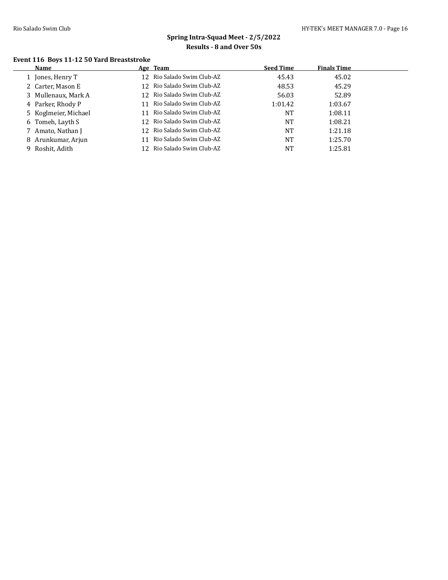#### **Event 116 Boys 11-12 50 Yard Breaststroke**

| Name                 |     | Age Team                   | <b>Seed Time</b> | <b>Finals Time</b> |
|----------------------|-----|----------------------------|------------------|--------------------|
| 1 Jones, Henry T     |     | 12 Rio Salado Swim Club-AZ | 45.43            | 45.02              |
| 2 Carter, Mason E    |     | 12 Rio Salado Swim Club-AZ | 48.53            | 45.29              |
| 3 Mullenaux, Mark A  |     | 12 Rio Salado Swim Club-AZ | 56.03            | 52.89              |
| 4 Parker, Rhody P    | 11  | Rio Salado Swim Club-AZ    | 1:01.42          | 1:03.67            |
| 5 Koglmeier, Michael |     | 11 Rio Salado Swim Club-AZ | <b>NT</b>        | 1:08.11            |
| 6 Tomeh, Layth S     |     | 12 Rio Salado Swim Club-AZ | <b>NT</b>        | 1:08.21            |
| 7 Amato, Nathan J    |     | 12 Rio Salado Swim Club-AZ | NT               | 1:21.18            |
| 8 Arunkumar, Arjun   | 11  | Rio Salado Swim Club-AZ    | <b>NT</b>        | 1:25.70            |
| 9 Roshit, Adith      | 12. | Rio Salado Swim Club-AZ    | <b>NT</b>        | 1:25.81            |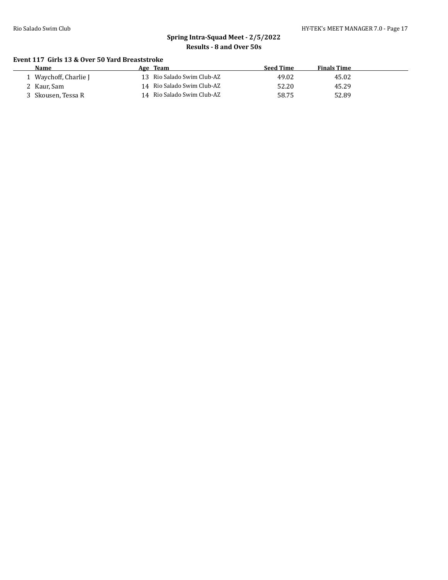#### **Event 117 Girls 13 & Over 50 Yard Breaststroke**

| Name                | Team<br>Age                | Seed Time | <b>Finals Time</b> |  |
|---------------------|----------------------------|-----------|--------------------|--|
| Waychoff, Charlie J | 13 Rio Salado Swim Club-AZ | 49.02     | 45.02              |  |
| 2 Kaur, Sam         | 14 Rio Salado Swim Club-AZ | 52.20     | 45.29              |  |
| Skousen, Tessa R    | 14 Rio Salado Swim Club-AZ | 58.75     | 52.89              |  |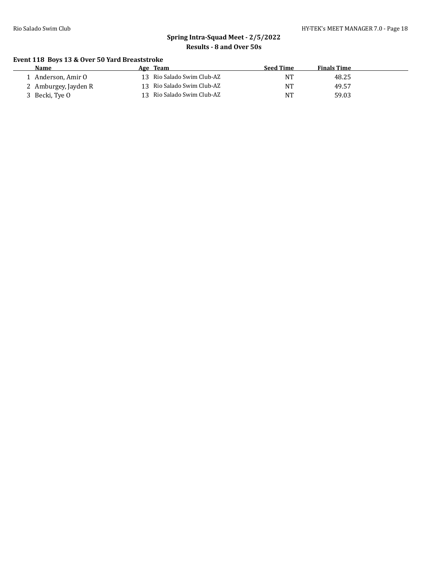#### **Event 118 Boys 13 & Over 50 Yard Breaststroke**

| <b>Name</b>          | Age | Team                       | Seed Time | <b>Finals Time</b> |
|----------------------|-----|----------------------------|-----------|--------------------|
| l - Anderson. Amir O |     | 13 Rio Salado Swim Club-AZ | NT        | 48.25              |
| 2 Amburgey, Jayden R |     | 13 Rio Salado Swim Club-AZ | NT        | 49.57              |
| 3 Becki, Tye O       |     | 13 Rio Salado Swim Club-AZ | NT        | 59.03              |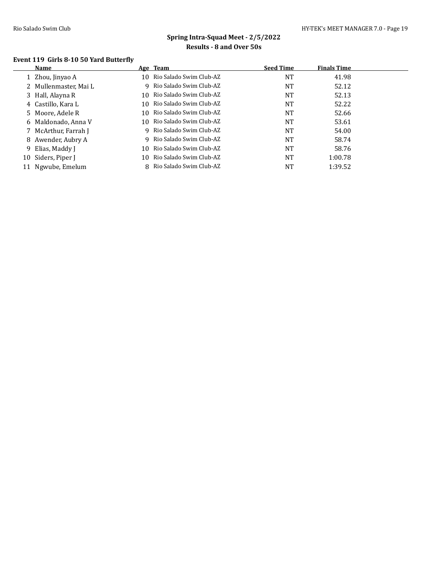#### **Event 119 Girls 8-10 50 Yard Butterfly**

|    | Name                  |     | Age Team                   | <b>Seed Time</b> | <b>Finals Time</b> |
|----|-----------------------|-----|----------------------------|------------------|--------------------|
|    | 1 Zhou, Jinyao A      |     | 10 Rio Salado Swim Club-AZ | <b>NT</b>        | 41.98              |
|    | 2 Mullenmaster, Mai L |     | 9 Rio Salado Swim Club-AZ  | <b>NT</b>        | 52.12              |
|    | 3 Hall, Alayna R      | 10. | Rio Salado Swim Club-AZ    | <b>NT</b>        | 52.13              |
|    | 4 Castillo, Kara L    |     | 10 Rio Salado Swim Club-AZ | <b>NT</b>        | 52.22              |
|    | 5 Moore, Adele R      |     | 10 Rio Salado Swim Club-AZ | <b>NT</b>        | 52.66              |
|    | 6 Maldonado, Anna V   | 10. | Rio Salado Swim Club-AZ    | <b>NT</b>        | 53.61              |
|    | 7 McArthur, Farrah J  |     | 9 Rio Salado Swim Club-AZ  | <b>NT</b>        | 54.00              |
|    | 8 Awender, Aubry A    |     | 9 Rio Salado Swim Club-AZ  | <b>NT</b>        | 58.74              |
|    | 9 Elias, Maddy J      | 10  | Rio Salado Swim Club-AZ    | <b>NT</b>        | 58.76              |
|    | 10 Siders, Piper J    | 10. | Rio Salado Swim Club-AZ    | <b>NT</b>        | 1:00.78            |
| 11 | Ngwube, Emelum        |     | 8 Rio Salado Swim Club-AZ  | <b>NT</b>        | 1:39.52            |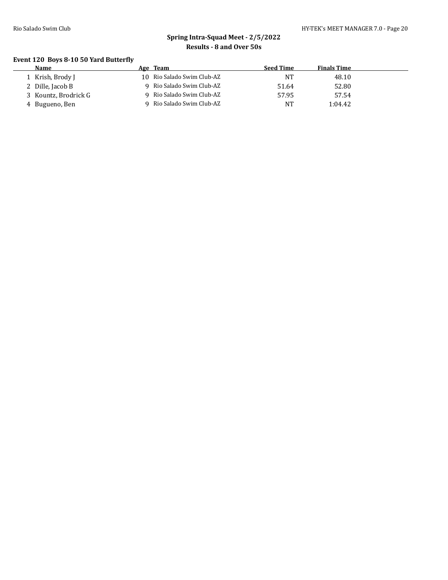#### **Event 120 Boys 8-10 50 Yard Butterfly**

| <b>Name</b>          | Age Team                   | <b>Seed Time</b> | <b>Finals Time</b> |  |
|----------------------|----------------------------|------------------|--------------------|--|
| 1 Krish, Brody J     | 10 Rio Salado Swim Club-AZ | NT               | 48.10              |  |
| 2 Dille, Jacob B     | 9 Rio Salado Swim Club-AZ  | 51.64            | 52.80              |  |
| 3 Kountz, Brodrick G | 9 Rio Salado Swim Club-AZ  | 57.95            | 57.54              |  |
| 4 Bugueno, Ben       | Rio Salado Swim Club-AZ    | <b>NT</b>        | 1:04.42            |  |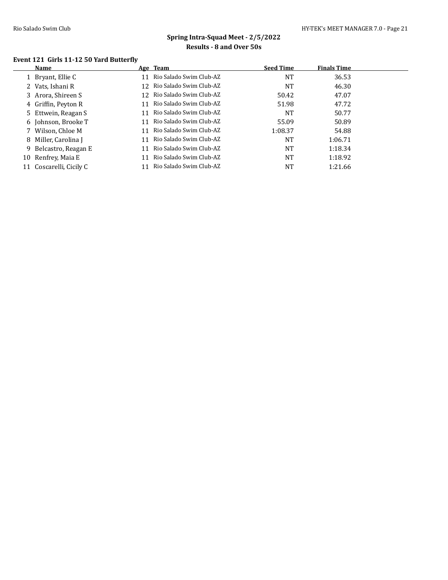#### **Event 121 Girls 11-12 50 Yard Butterfly**

|                   |                                                                                                                                                                                                                                    |                         | <b>Seed Time</b>                                                                                                                                                                                                                                                                       | <b>Finals Time</b> |  |
|-------------------|------------------------------------------------------------------------------------------------------------------------------------------------------------------------------------------------------------------------------------|-------------------------|----------------------------------------------------------------------------------------------------------------------------------------------------------------------------------------------------------------------------------------------------------------------------------------|--------------------|--|
| 1 Bryant, Ellie C | 11                                                                                                                                                                                                                                 | Rio Salado Swim Club-AZ | <b>NT</b>                                                                                                                                                                                                                                                                              | 36.53              |  |
|                   |                                                                                                                                                                                                                                    |                         | <b>NT</b>                                                                                                                                                                                                                                                                              | 46.30              |  |
|                   |                                                                                                                                                                                                                                    |                         | 50.42                                                                                                                                                                                                                                                                                  | 47.07              |  |
|                   | 11                                                                                                                                                                                                                                 |                         | 51.98                                                                                                                                                                                                                                                                                  | 47.72              |  |
|                   | 11                                                                                                                                                                                                                                 |                         | NT                                                                                                                                                                                                                                                                                     | 50.77              |  |
|                   | 11                                                                                                                                                                                                                                 |                         | 55.09                                                                                                                                                                                                                                                                                  | 50.89              |  |
|                   | 11                                                                                                                                                                                                                                 |                         | 1:08.37                                                                                                                                                                                                                                                                                | 54.88              |  |
|                   | 11                                                                                                                                                                                                                                 |                         | <b>NT</b>                                                                                                                                                                                                                                                                              | 1:06.71            |  |
|                   | 11                                                                                                                                                                                                                                 |                         | <b>NT</b>                                                                                                                                                                                                                                                                              | 1:18.34            |  |
|                   | 11                                                                                                                                                                                                                                 |                         | <b>NT</b>                                                                                                                                                                                                                                                                              | 1:18.92            |  |
|                   | 11                                                                                                                                                                                                                                 |                         | NT                                                                                                                                                                                                                                                                                     | 1:21.66            |  |
|                   | 2 Vats, Ishani R<br>3 Arora, Shireen S<br>4 Griffin, Peyton R<br>5 Ettwein, Reagan S<br>6 Johnson, Brooke T<br>7 Wilson, Chloe M<br>8 Miller, Carolina J<br>9 Belcastro, Reagan E<br>10 Renfrey, Maia E<br>11 Coscarelli, Cicily C |                         | 12 Rio Salado Swim Club-AZ<br>12 Rio Salado Swim Club-AZ<br>- Rio Salado Swim Club-AZ<br>- Rio Salado Swim Club-AZ<br>Rio Salado Swim Club-AZ<br>Rio Salado Swim Club-AZ<br>Rio Salado Swim Club-AZ<br>- Rio Salado Swim Club-AZ<br>Rio Salado Swim Club-AZ<br>Rio Salado Swim Club-AZ |                    |  |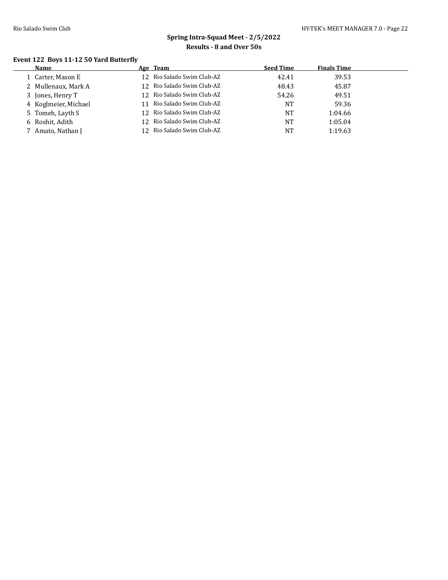$\overline{a}$ 

# **Spring Intra-Squad Meet - 2/5/2022 Results - 8 and Over 50s**

#### **Event 122 Boys 11-12 50 Yard Butterfly**

| Name                 | Age Team                   | <b>Seed Time</b> | <b>Finals Time</b> |  |
|----------------------|----------------------------|------------------|--------------------|--|
| 1 Carter, Mason E    | 12 Rio Salado Swim Club-AZ | 42.41            | 39.53              |  |
| 2 Mullenaux, Mark A  | 12 Rio Salado Swim Club-AZ | 48.43            | 45.87              |  |
| 3 Jones, Henry T     | 12 Rio Salado Swim Club-AZ | 54.26            | 49.51              |  |
| 4 Koglmeier, Michael | 11 Rio Salado Swim Club-AZ | NT               | 59.36              |  |
| 5 Tomeh, Layth S     | 12 Rio Salado Swim Club-AZ | NT               | 1:04.66            |  |
| 6 Roshit, Adith      | 12 Rio Salado Swim Club-AZ | NT               | 1:05.04            |  |
| Amato, Nathan J      | 12 Rio Salado Swim Club-AZ | NT               | 1:19.63            |  |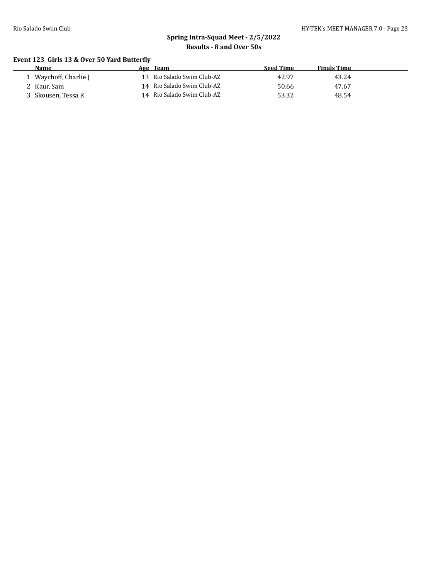#### **Event 123 Girls 13 & Over 50 Yard Butterfly**

|  | <b>Seed Time</b>                                                                                   | <b>Finals Time</b> |
|--|----------------------------------------------------------------------------------------------------|--------------------|
|  | 42.97                                                                                              | 43.24              |
|  | 50.66                                                                                              | 47.67              |
|  | 53.32                                                                                              | 48.54              |
|  | Age Team<br>13 Rio Salado Swim Club-AZ<br>14 Rio Salado Swim Club-AZ<br>14 Rio Salado Swim Club-AZ |                    |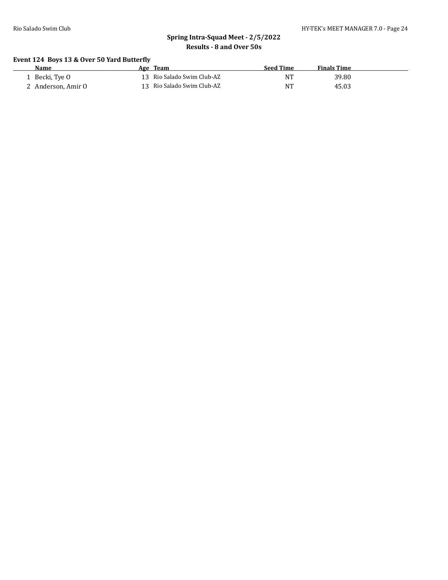#### **Event 124 Boys 13 & Over 50 Yard Butterfly**

| <b>Name</b>        | Age Team                   | <b>Seed Time</b> | <b>Finals Time</b> |
|--------------------|----------------------------|------------------|--------------------|
| Becki, Tye O       | 13 Rio Salado Swim Club-AZ | NT               | 39.80              |
| 4 Anderson, Amir O | 13 Rio Salado Swim Club-AZ | NT               | 45.03              |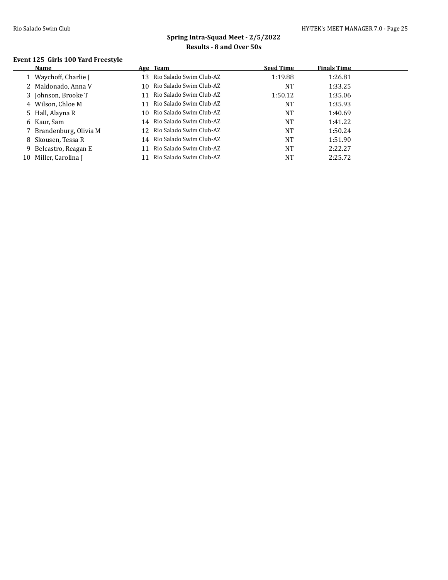#### **Event 125 Girls 100 Yard Freestyle**

|    | Name                    |    | Age Team                   | <b>Seed Time</b> | <b>Finals Time</b> |
|----|-------------------------|----|----------------------------|------------------|--------------------|
|    | 1 Waychoff, Charlie J   |    | 13 Rio Salado Swim Club-AZ | 1:19.88          | 1:26.81            |
|    | 2 Maldonado, Anna V     |    | 10 Rio Salado Swim Club-AZ | <b>NT</b>        | 1:33.25            |
|    | 3 Johnson, Brooke T     | 11 | Rio Salado Swim Club-AZ    | 1:50.12          | 1:35.06            |
|    | 4 Wilson, Chloe M       |    | 11 Rio Salado Swim Club-AZ | <b>NT</b>        | 1:35.93            |
|    | 5 Hall, Alayna R        |    | 10 Rio Salado Swim Club-AZ | <b>NT</b>        | 1:40.69            |
|    | 6 Kaur, Sam             |    | 14 Rio Salado Swim Club-AZ | <b>NT</b>        | 1:41.22            |
|    | 7 Brandenburg, Olivia M |    | 12 Rio Salado Swim Club-AZ | <b>NT</b>        | 1:50.24            |
|    | 8 Skousen, Tessa R      |    | 14 Rio Salado Swim Club-AZ | <b>NT</b>        | 1:51.90            |
|    | 9 Belcastro, Reagan E   | 11 | Rio Salado Swim Club-AZ    | <b>NT</b>        | 2:22.27            |
| 10 | Miller, Carolina J      |    | Rio Salado Swim Club-AZ    | NT               | 2:25.72            |
|    |                         |    |                            |                  |                    |